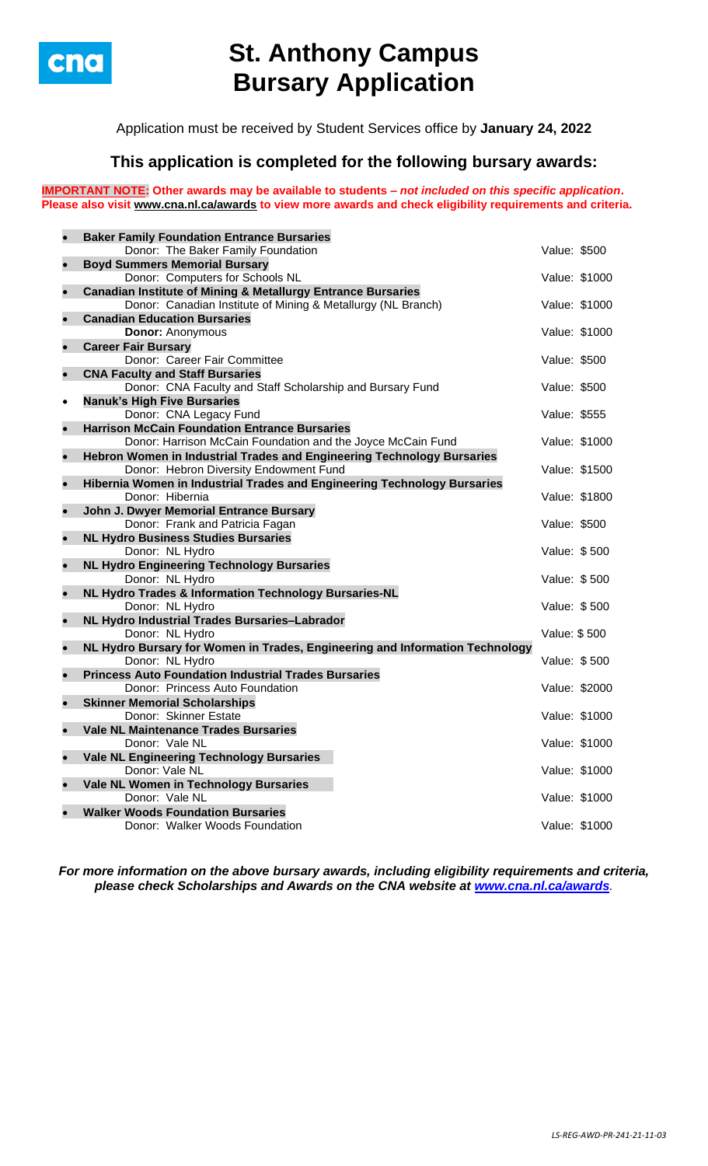

# **St. Anthony Campus Bursary Application**

Application must be received by Student Services office by **January 24, 2022**

## **This application is completed for the following bursary awards:**

**IMPORTANT NOTE: Other awards may be available to students –** *not included on this specific application***. Please also visit [www.cna.nl.ca/awards](http://www.cna.nl.ca/awards) to view more awards and check eligibility requirements and criteria.**

|           | <b>Baker Family Foundation Entrance Bursaries</b>                            |               |               |
|-----------|------------------------------------------------------------------------------|---------------|---------------|
|           | Donor: The Baker Family Foundation                                           | Value: \$500  |               |
|           | <b>Boyd Summers Memorial Bursary</b>                                         |               |               |
|           | Donor: Computers for Schools NL                                              |               | Value: \$1000 |
| $\bullet$ | <b>Canadian Institute of Mining &amp; Metallurgy Entrance Bursaries</b>      |               |               |
|           | Donor: Canadian Institute of Mining & Metallurgy (NL Branch)                 | Value: \$1000 |               |
|           | <b>Canadian Education Bursaries</b>                                          |               |               |
|           | <b>Donor: Anonymous</b>                                                      | Value: \$1000 |               |
| $\bullet$ | <b>Career Fair Bursary</b><br>Donor: Career Fair Committee                   |               |               |
|           | <b>CNA Faculty and Staff Bursaries</b>                                       | Value: \$500  |               |
|           | Donor: CNA Faculty and Staff Scholarship and Bursary Fund                    | Value: \$500  |               |
| $\bullet$ | <b>Nanuk's High Five Bursaries</b>                                           |               |               |
|           | Donor: CNA Legacy Fund                                                       | Value: \$555  |               |
| $\bullet$ | <b>Harrison McCain Foundation Entrance Bursaries</b>                         |               |               |
|           | Donor: Harrison McCain Foundation and the Joyce McCain Fund                  | Value: \$1000 |               |
| $\bullet$ | Hebron Women in Industrial Trades and Engineering Technology Bursaries       |               |               |
|           | Donor: Hebron Diversity Endowment Fund                                       | Value: \$1500 |               |
|           | Hibernia Women in Industrial Trades and Engineering Technology Bursaries     |               |               |
|           | Donor: Hibernia                                                              |               | Value: \$1800 |
| $\bullet$ | John J. Dwyer Memorial Entrance Bursary                                      |               |               |
|           | Donor: Frank and Patricia Fagan                                              | Value: \$500  |               |
| $\bullet$ | <b>NL Hydro Business Studies Bursaries</b>                                   |               |               |
|           | Donor: NL Hydro                                                              | Value: \$500  |               |
| $\bullet$ | <b>NL Hydro Engineering Technology Bursaries</b>                             |               |               |
|           | Donor: NL Hydro                                                              | Value: \$500  |               |
| $\bullet$ | NL Hydro Trades & Information Technology Bursaries-NL<br>Donor: NL Hydro     | Value: \$500  |               |
| $\bullet$ | NL Hydro Industrial Trades Bursaries-Labrador                                |               |               |
|           | Donor: NL Hydro                                                              | Value: \$500  |               |
| $\bullet$ | NL Hydro Bursary for Women in Trades, Engineering and Information Technology |               |               |
|           | Donor: NL Hydro                                                              | Value: \$500  |               |
| $\bullet$ | <b>Princess Auto Foundation Industrial Trades Bursaries</b>                  |               |               |
|           | Donor: Princess Auto Foundation                                              | Value: \$2000 |               |
| $\bullet$ | <b>Skinner Memorial Scholarships</b>                                         |               |               |
|           | Donor: Skinner Estate                                                        |               | Value: \$1000 |
| $\bullet$ | <b>Vale NL Maintenance Trades Bursaries</b>                                  |               |               |
|           | Donor: Vale NL                                                               | Value: \$1000 |               |
|           | <b>Vale NL Engineering Technology Bursaries</b>                              |               |               |
|           | Donor: Vale NL                                                               | Value: \$1000 |               |
| $\bullet$ | Vale NL Women in Technology Bursaries                                        |               |               |
|           | Donor: Vale NL<br><b>Walker Woods Foundation Bursaries</b>                   | Value: \$1000 |               |
|           | Donor: Walker Woods Foundation                                               |               | Value: \$1000 |
|           |                                                                              |               |               |

*For more information on the above bursary awards, including eligibility requirements and criteria, please check Scholarships and Awards on the CNA website at [www.cna.nl.ca/awards](http://www.cna.nl.ca/awards).*